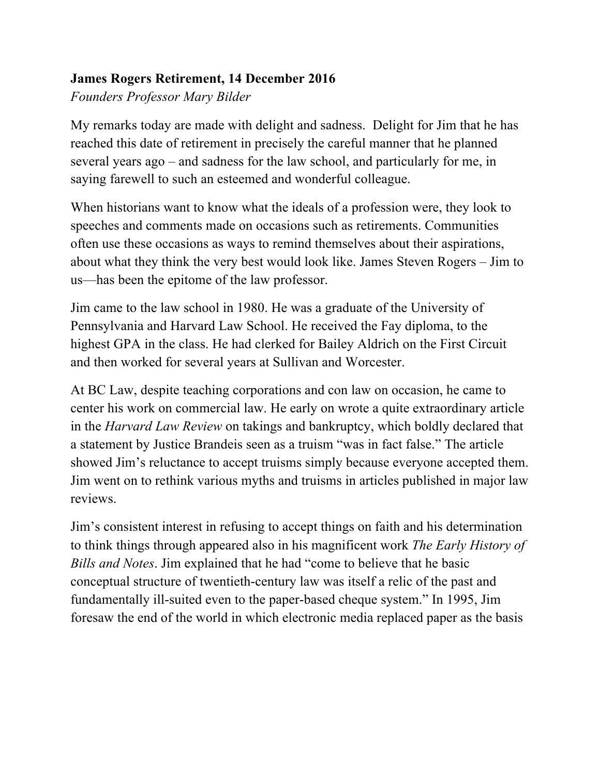## **James Rogers Retirement, 14 December 2016**

*Founders Professor Mary Bilder*

My remarks today are made with delight and sadness. Delight for Jim that he has reached this date of retirement in precisely the careful manner that he planned several years ago – and sadness for the law school, and particularly for me, in saying farewell to such an esteemed and wonderful colleague.

When historians want to know what the ideals of a profession were, they look to speeches and comments made on occasions such as retirements. Communities often use these occasions as ways to remind themselves about their aspirations, about what they think the very best would look like. James Steven Rogers – Jim to us—has been the epitome of the law professor.

Jim came to the law school in 1980. He was a graduate of the University of Pennsylvania and Harvard Law School. He received the Fay diploma, to the highest GPA in the class. He had clerked for Bailey Aldrich on the First Circuit and then worked for several years at Sullivan and Worcester.

At BC Law, despite teaching corporations and con law on occasion, he came to center his work on commercial law. He early on wrote a quite extraordinary article in the *Harvard Law Review* on takings and bankruptcy, which boldly declared that a statement by Justice Brandeis seen as a truism "was in fact false." The article showed Jim's reluctance to accept truisms simply because everyone accepted them. Jim went on to rethink various myths and truisms in articles published in major law reviews.

Jim's consistent interest in refusing to accept things on faith and his determination to think things through appeared also in his magnificent work *The Early History of Bills and Notes*. Jim explained that he had "come to believe that he basic conceptual structure of twentieth-century law was itself a relic of the past and fundamentally ill-suited even to the paper-based cheque system." In 1995, Jim foresaw the end of the world in which electronic media replaced paper as the basis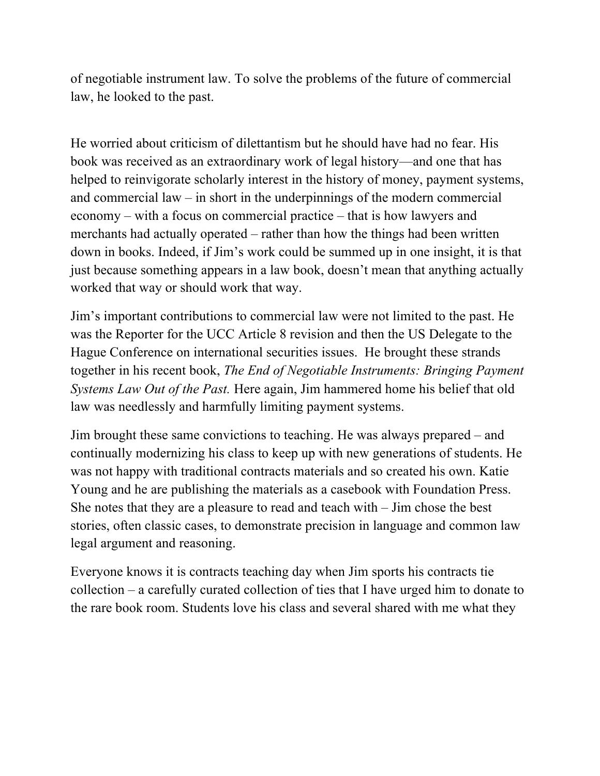of negotiable instrument law. To solve the problems of the future of commercial law, he looked to the past.

He worried about criticism of dilettantism but he should have had no fear. His book was received as an extraordinary work of legal history—and one that has helped to reinvigorate scholarly interest in the history of money, payment systems, and commercial law – in short in the underpinnings of the modern commercial economy – with a focus on commercial practice – that is how lawyers and merchants had actually operated – rather than how the things had been written down in books. Indeed, if Jim's work could be summed up in one insight, it is that just because something appears in a law book, doesn't mean that anything actually worked that way or should work that way.

Jim's important contributions to commercial law were not limited to the past. He was the Reporter for the UCC Article 8 revision and then the US Delegate to the Hague Conference on international securities issues. He brought these strands together in his recent book, *The End of Negotiable Instruments: Bringing Payment Systems Law Out of the Past.* Here again, Jim hammered home his belief that old law was needlessly and harmfully limiting payment systems.

Jim brought these same convictions to teaching. He was always prepared – and continually modernizing his class to keep up with new generations of students. He was not happy with traditional contracts materials and so created his own. Katie Young and he are publishing the materials as a casebook with Foundation Press. She notes that they are a pleasure to read and teach with – Jim chose the best stories, often classic cases, to demonstrate precision in language and common law legal argument and reasoning.

Everyone knows it is contracts teaching day when Jim sports his contracts tie collection – a carefully curated collection of ties that I have urged him to donate to the rare book room. Students love his class and several shared with me what they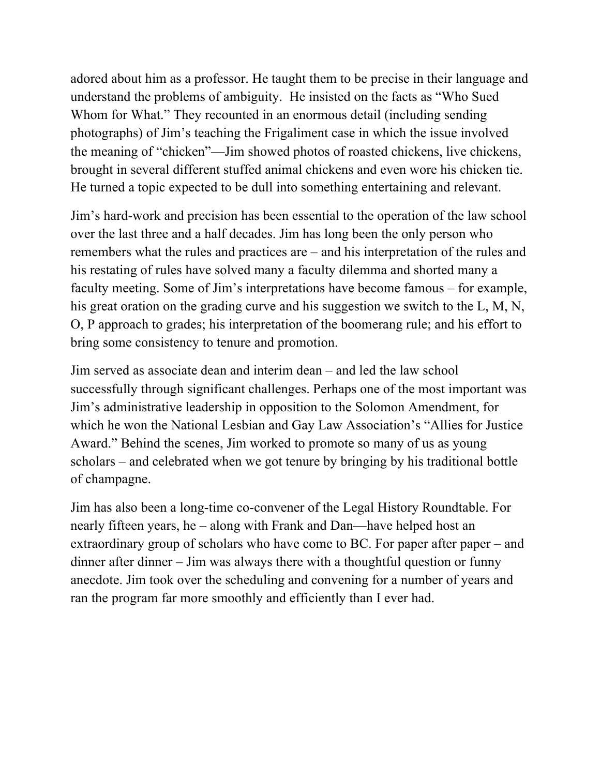adored about him as a professor. He taught them to be precise in their language and understand the problems of ambiguity. He insisted on the facts as "Who Sued Whom for What." They recounted in an enormous detail (including sending photographs) of Jim's teaching the Frigaliment case in which the issue involved the meaning of "chicken"—Jim showed photos of roasted chickens, live chickens, brought in several different stuffed animal chickens and even wore his chicken tie. He turned a topic expected to be dull into something entertaining and relevant.

Jim's hard-work and precision has been essential to the operation of the law school over the last three and a half decades. Jim has long been the only person who remembers what the rules and practices are – and his interpretation of the rules and his restating of rules have solved many a faculty dilemma and shorted many a faculty meeting. Some of Jim's interpretations have become famous – for example, his great oration on the grading curve and his suggestion we switch to the L, M, N, O, P approach to grades; his interpretation of the boomerang rule; and his effort to bring some consistency to tenure and promotion.

Jim served as associate dean and interim dean – and led the law school successfully through significant challenges. Perhaps one of the most important was Jim's administrative leadership in opposition to the Solomon Amendment, for which he won the National Lesbian and Gay Law Association's "Allies for Justice Award." Behind the scenes, Jim worked to promote so many of us as young scholars – and celebrated when we got tenure by bringing by his traditional bottle of champagne.

Jim has also been a long-time co-convener of the Legal History Roundtable. For nearly fifteen years, he – along with Frank and Dan—have helped host an extraordinary group of scholars who have come to BC. For paper after paper – and dinner after dinner – Jim was always there with a thoughtful question or funny anecdote. Jim took over the scheduling and convening for a number of years and ran the program far more smoothly and efficiently than I ever had.